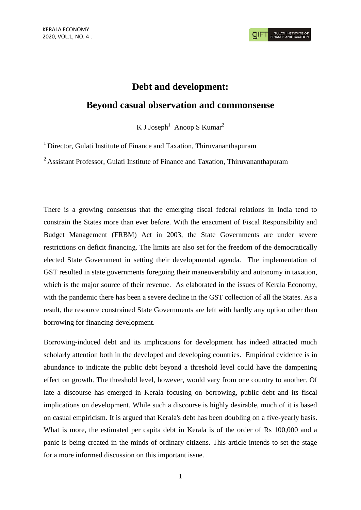# **Debt and development:**

# **Beyond casual observation and commonsense**

K J Joseph<sup>1</sup> Anoop S Kumar<sup>2</sup>

<sup>1</sup> Director, Gulati Institute of Finance and Taxation, Thiruvananthapuram

<sup>2</sup> Assistant Professor, Gulati Institute of Finance and Taxation, Thiruvananthapuram

There is a growing consensus that the emerging fiscal federal relations in India tend to constrain the States more than ever before. With the enactment of Fiscal Responsibility and Budget Management (FRBM) Act in 2003, the State Governments are under severe restrictions on deficit financing. The limits are also set for the freedom of the democratically elected State Government in setting their developmental agenda. The implementation of GST resulted in state governments foregoing their maneuverability and autonomy in taxation, which is the major source of their revenue. As elaborated in the issues of Kerala Economy, with the pandemic there has been a severe decline in the GST collection of all the States. As a result, the resource constrained State Governments are left with hardly any option other than borrowing for financing development.

Borrowing-induced debt and its implications for development has indeed attracted much scholarly attention both in the developed and developing countries. Empirical evidence is in abundance to indicate the public debt beyond a threshold level could have the dampening effect on growth. The threshold level, however, would vary from one country to another. Of late a discourse has emerged in Kerala focusing on borrowing, public debt and its fiscal implications on development. While such a discourse is highly desirable, much of it is based on casual empiricism. It is argued that Kerala's debt has been doubling on a five-yearly basis. What is more, the estimated per capita debt in Kerala is of the order of Rs 100,000 and a panic is being created in the minds of ordinary citizens. This article intends to set the stage for a more informed discussion on this important issue.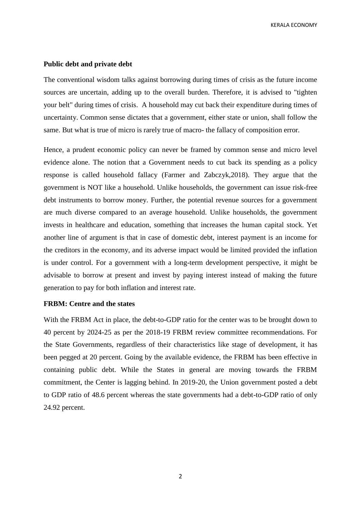KERALA ECONOMY

#### **Public debt and private debt**

The conventional wisdom talks against borrowing during times of crisis as the future income sources are uncertain, adding up to the overall burden. Therefore, it is advised to "tighten your belt" during times of crisis. A household may cut back their expenditure during times of uncertainty. Common sense dictates that a government, either state or union, shall follow the same. But what is true of micro is rarely true of macro- the fallacy of composition error.

Hence, a prudent economic policy can never be framed by common sense and micro level evidence alone. The notion that a Government needs to cut back its spending as a policy response is called household fallacy (Farmer and Zabczyk,2018). They argue that the government is NOT like a household. Unlike households, the government can issue risk-free debt instruments to borrow money. Further, the potential revenue sources for a government are much diverse compared to an average household. Unlike households, the government invests in healthcare and education, something that increases the human capital stock. Yet another line of argument is that in case of domestic debt, interest payment is an income for the creditors in the economy, and its adverse impact would be limited provided the inflation is under control. For a government with a long-term development perspective, it might be advisable to borrow at present and invest by paying interest instead of making the future generation to pay for both inflation and interest rate.

## **FRBM: Centre and the states**

With the FRBM Act in place, the debt-to-GDP ratio for the center was to be brought down to 40 percent by 2024-25 as per the 2018-19 FRBM review committee recommendations. For the State Governments, regardless of their characteristics like stage of development, it has been pegged at 20 percent. Going by the available evidence, the FRBM has been effective in containing public debt. While the States in general are moving towards the FRBM commitment, the Center is lagging behind. In 2019-20, the Union government posted a debt to GDP ratio of 48.6 percent whereas the state governments had a debt-to-GDP ratio of only 24.92 percent.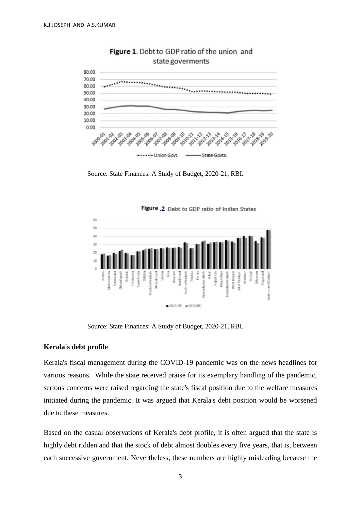

Figure 1. Debt to GDP ratio of the union and state goverments

Source: State Finances: A Study of Budget, 2020-21, RBI.



Figure 2 Debt to GDP ratio of Indian States

Source: State Finances: A Study of Budget, 2020-21, RBI.

#### **Kerala's debt profile**

Kerala's fiscal management during the COVID-19 pandemic was on the news headlines for various reasons. While the state received praise for its exemplary handling of the pandemic, serious concerns were raised regarding the state's fiscal position due to the welfare measures initiated during the pandemic. It was argued that Kerala's debt position would be worsened due to these measures.

Based on the casual observations of Kerala's debt profile, it is often argued that the state is highly debt ridden and that the stock of debt almost doubles every five years, that is, between each successive government. Nevertheless, these numbers are highly misleading because the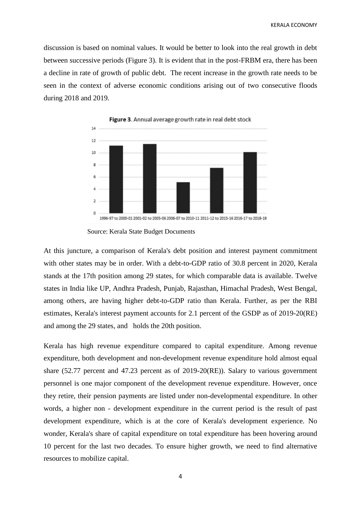discussion is based on nominal values. It would be better to look into the real growth in debt between successive periods (Figure 3). It is evident that in the post-FRBM era, there has been a decline in rate of growth of public debt. The recent increase in the growth rate needs to be seen in the context of adverse economic conditions arising out of two consecutive floods during 2018 and 2019.



Figure 3. Annual average growth rate in real debt stock

At this juncture, a comparison of Kerala's debt position and interest payment commitment with other states may be in order. With a debt-to-GDP ratio of 30.8 percent in 2020, Kerala stands at the 17th position among 29 states, for which comparable data is available. Twelve states in India like UP, Andhra Pradesh, Punjab, Rajasthan, Himachal Pradesh, West Bengal, among others, are having higher debt-to-GDP ratio than Kerala. Further, as per the RBI estimates, Kerala's interest payment accounts for 2.1 percent of the GSDP as of 2019-20(RE) and among the 29 states, and holds the 20th position.

Kerala has high revenue expenditure compared to capital expenditure. Among revenue expenditure, both development and non-development revenue expenditure hold almost equal share (52.77 percent and 47.23 percent as of 2019-20(RE)). Salary to various government personnel is one major component of the development revenue expenditure. However, once they retire, their pension payments are listed under non-developmental expenditure. In other words, a higher non - development expenditure in the current period is the result of past development expenditure, which is at the core of Kerala's development experience. No wonder, Kerala's share of capital expenditure on total expenditure has been hovering around 10 percent for the last two decades. To ensure higher growth, we need to find alternative resources to mobilize capital.

Source: Kerala State Budget Documents